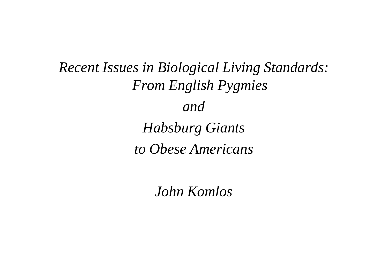*Recent Issues in Biological Living Standards: From English Pygmies and Habsburg Giants to Obese Americans*

*John Komlos*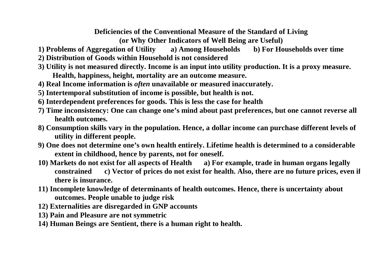#### **Deficiencies of the Conventional Measure of the Standard of Living**

**(or Why Other Indicators of Well Being are Useful)** 

- **1) Problems of Aggregation of Utility a) Among Households b) For Households over time**
- **2) Distribution of Goods within Household is not considered**
- **3) Utility is not measured directly. Income is an input into utility production. It is a proxy measure. Health, happiness, height, mortality are an outcome measure.**
- **4) Real Income information is** *often* **unavailable or measured inaccurately.**
- **5) Intertemporal substitution of income is possible, but health is not.**
- **6) Interdependent preferences for goods. This is less the case for health**
- **7) Time inconsistency: One can change one's mind about past preferences, but one cannot reverse all health outcomes.**
- **8) Consumption skills vary in the population. Hence, a dollar income can purchase different levels of utility in different people.**
- **9) One does not determine one's own health entirely. Lifetime health is determined to a considerable extent in childhood, hence by parents, not for oneself.**
- **10) Markets do not exist for all aspects of Health a) For example, trade in human organs legally constrained c) Vector of prices do not exist for health. Also, there are no future prices, even if there is insurance.**
- **11) Incomplete knowledge of determinants of health outcomes. Hence, there is uncertainty about outcomes. People unable to judge risk**
- **12) Externalities are disregarded in GNP accounts**
- **13) Pain and Pleasure are not symmetric**
- **14) Human Beings are Sentient, there is a human right to health.**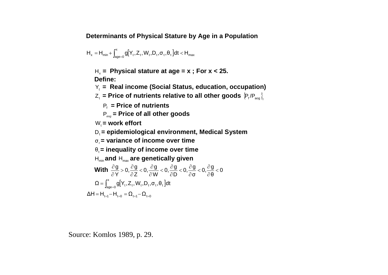**Determinants of Physical Stature by Age in a Population**

$$
H_x = H_{\text{min}} + \int_{age=0}^{x} g[Y_t, Z_t, W_t, D_t, \sigma_t, \theta_t] dt < H_{\text{max}}
$$

 $H_x$  = Physical stature at age =  $x$ ; For  $x < 25$ . **Define:** 

**Y<sub>t</sub> = Real income (Social Status, education, occupation)** 

 $\mathsf{Z}_\mathsf{t}$  = Price of nutrients relative to all other goods  $\langle \mathsf{P}_\mathsf{f}$ /P<sub>aog</sub> }

 $P_f$  = Price of nutrients

P*aog* **= Price of all other goods** 

W<sub>i</sub> = work effort

D<sub>i</sub> = epidemiological environment, Medical System

σ*<sup>t</sup>* **= variance of income over time** 

θt**= inequality of income over time** 

Hmin **and** Hmax **are genetically given** 

**With** 
$$
\frac{\partial g}{\partial Y} > 0
$$
,  $\frac{\partial g}{\partial Z} < 0$ ,  $\frac{\partial g}{\partial W} < 0$ ,  $\frac{\partial g}{\partial D} < 0$ ,  $\frac{\partial g}{\partial \sigma} < 0$ ,  $\frac{\partial g}{\partial \theta} < 0$   

$$
\Omega = \int_{age=0}^{x} g[Y_t, Z_t, W_t, D_t, \sigma_t, \theta_t] dt
$$

$$
\Delta H = H_{t=1} - H_{t=0} = \Omega_{t=1} - \Omega_{t=0}
$$

Source: Komlos 1989, p. 29.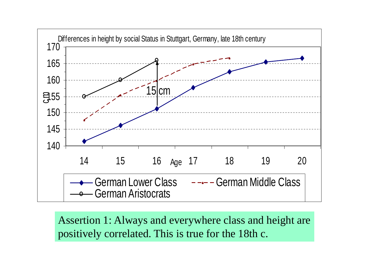

Assertion 1: Always and everywhere class and height are positively correlated. This is true for the 18th c.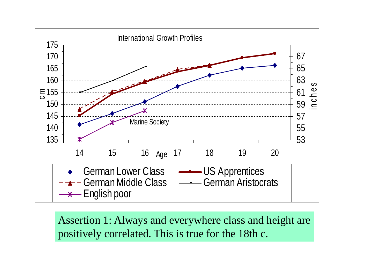

Assertion 1: Always and everywhere class and height are positively correlated. This is true for the 18th c.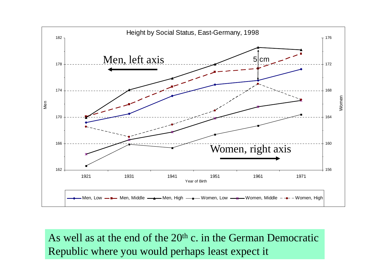

As well as at the end of the 20<sup>th</sup> c. in the German Democratic Republic where you would perhaps least expect it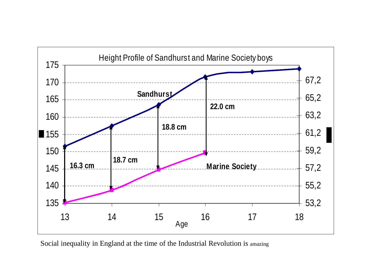

Social inequality in England at the time of the Industrial Revolution is amazing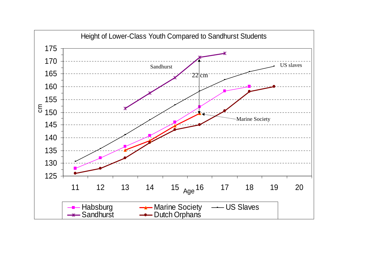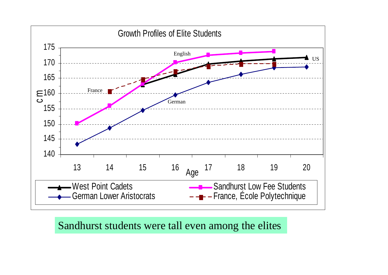

Sandhurst students were tall even among the elites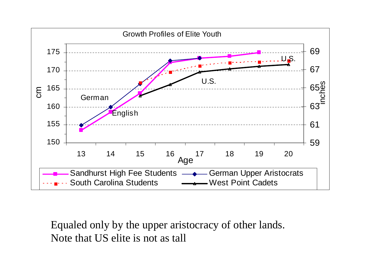

Equaled only by the upper aristocracy of other lands. Note that US elite is not as tall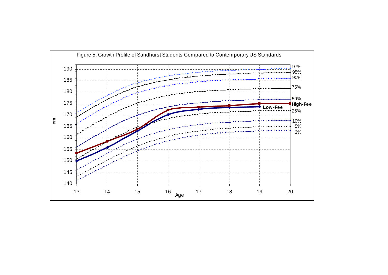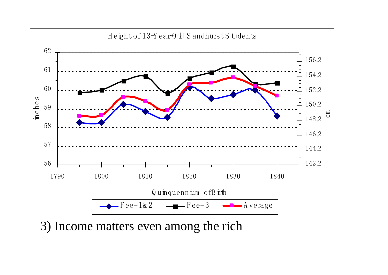

3) Income matters even among the rich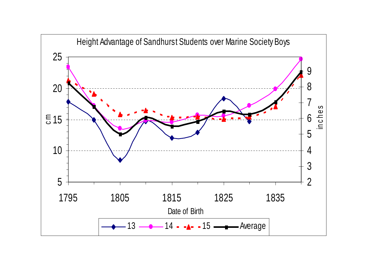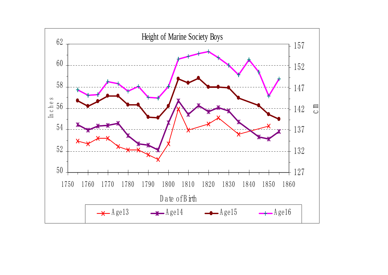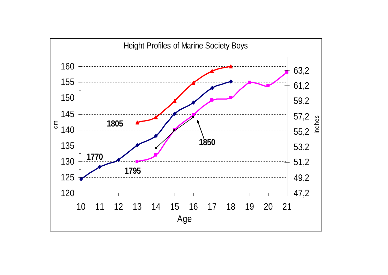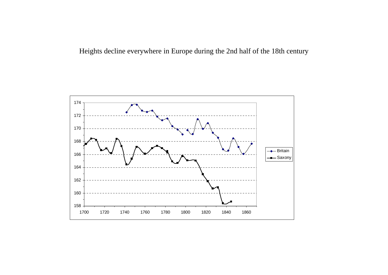Heights decline everywhere in Europe during the 2nd half of the 18th century

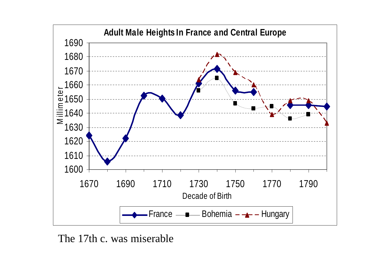

The 17th c. was miserable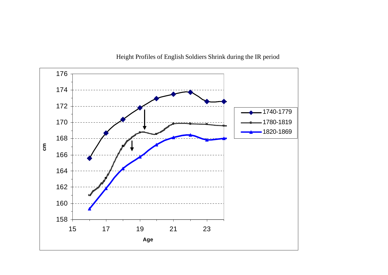

Height Profiles of English Soldiers Shrink during the IR period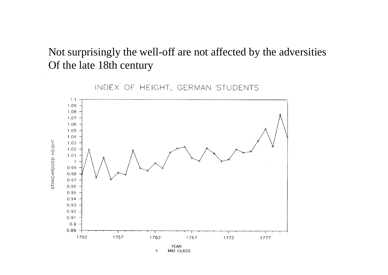# Not surprisingly the well-off are not affected by the adversities Of the late 18th century

![](_page_18_Figure_1.jpeg)

INDEX OF HEIGHT, GERMAN STUDENTS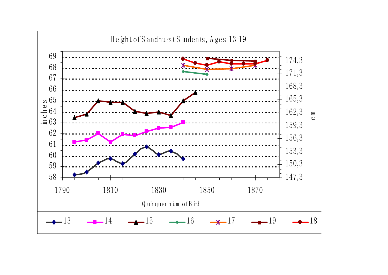![](_page_19_Figure_0.jpeg)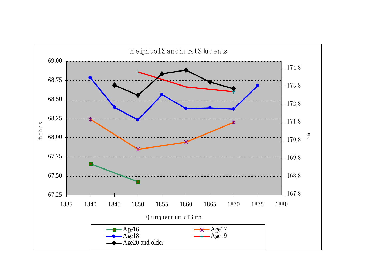![](_page_20_Figure_0.jpeg)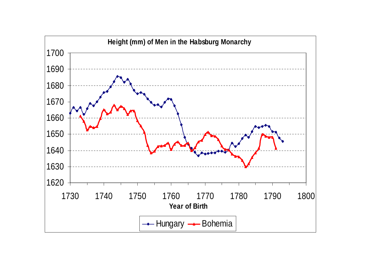![](_page_21_Figure_0.jpeg)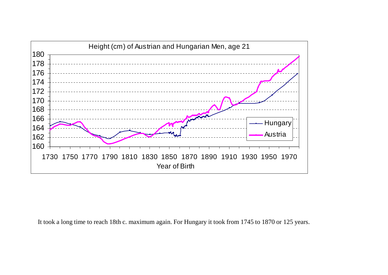![](_page_22_Figure_0.jpeg)

It took a long time to reach 18th c. maximum again. For Hungary it took from 1745 to 1870 or 125 years.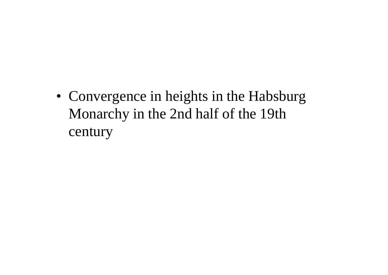• Convergence in heights in the Habsburg Monarchy in the 2nd half of the 19th century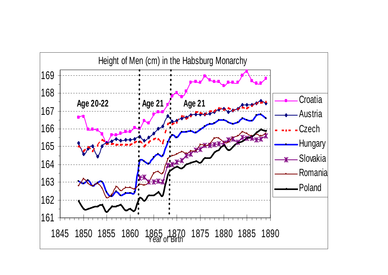![](_page_24_Figure_0.jpeg)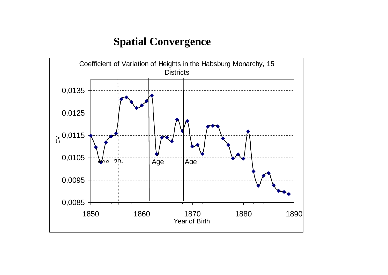# **Spatial Convergence**

![](_page_25_Figure_1.jpeg)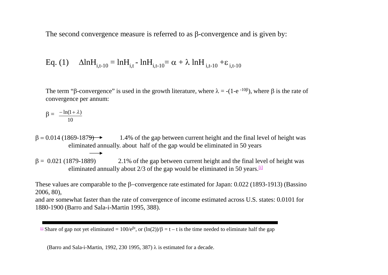The second convergence measure is referred to as  $\beta$ -convergence and is given by:

Eq. (1) 
$$
\Delta \ln H_{i,t-10} = \ln H_{i,t} - \ln H_{i,t-10} = \alpha + \lambda \ln H_{i,t-10} + \varepsilon_{i,t-10}
$$

The term " $\beta$ -convergence" is used in the growth literature, where  $\lambda = -(1-e^{-10\beta})$ , where  $\beta$  is the rate of convergence per annum:

$$
\beta = \frac{-\ln(1+\lambda)}{10}
$$

 $\beta = 0.014$  (1869-1879)  $\rightarrow$  1.4% of the gap between current height and the final level of height was eliminated annually. about half of the gap would be eliminated in 50 years

 $\beta = 0.021$  (1879-1889) 2.1% of the gap between current height and the final level of height was eliminated annually about  $2/3$  of the gap would be eliminated in 50 years.  $[1]$ 

These values are comparable to the  $\beta$ -convergence rate estimated for Japan: 0.022 (1893-1913) (Bassino 2006, 80),

and are somewhat faster than the rate of convergence of income estimated across U.S. states: 0.0101 for 1880-1900 (Barro and Sala-i-Martin 1995, 388).

 $\ln$  Share of gap not yet eliminated = 100/e<sup> $\beta$ t</sup>, or (ln(2))/ $\beta$  = t – t is the time needed to eliminate half the gap

(Barro and Sala-i-Martin, 1992, 230 1995, 387)  $\lambda$  is estimated for a decade.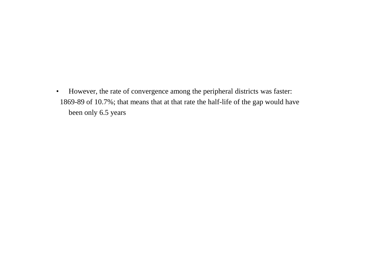• However, the rate of convergence among the peripheral districts was faster: 1869-89 of 10.7%; that means that at that rate the half-life of the gap would have been only 6.5 years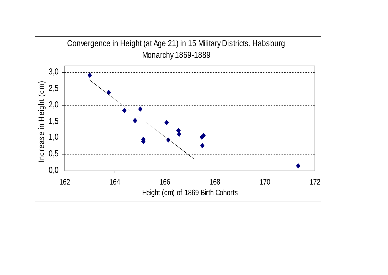![](_page_28_Figure_0.jpeg)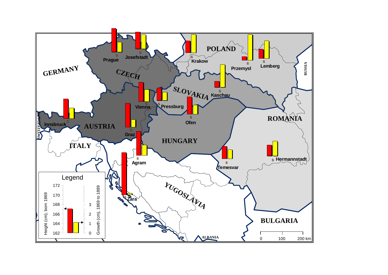![](_page_29_Figure_0.jpeg)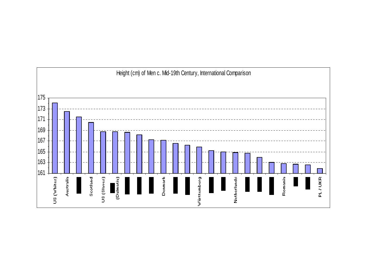![](_page_30_Figure_0.jpeg)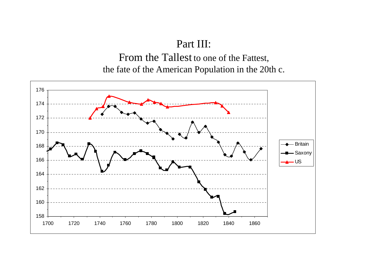#### Part III:

From the Tallest to one of the Fattest, the fate of the American Population in the 20th c.

![](_page_31_Figure_2.jpeg)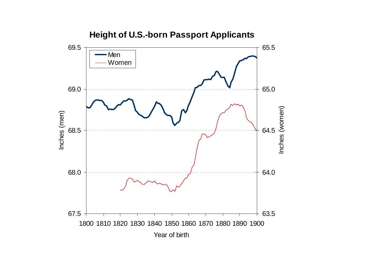![](_page_32_Figure_0.jpeg)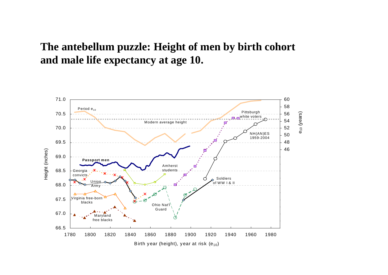# **The antebellum puzzle: Height of men by birth cohort and male life expectancy at age 10.**

![](_page_33_Figure_1.jpeg)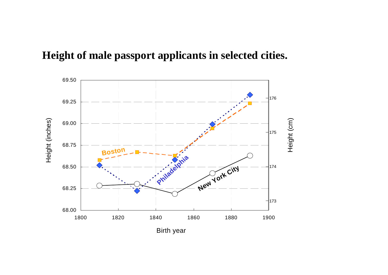![](_page_34_Figure_0.jpeg)

![](_page_34_Figure_1.jpeg)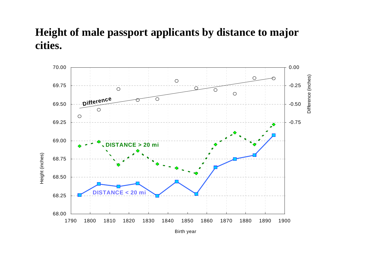# **Height of male passport applicants by distance to major cities.**

![](_page_35_Figure_1.jpeg)

Birth year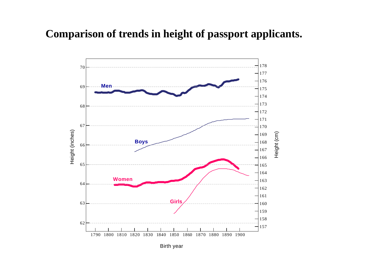### **Comparison of trends in height of passport applicants.**

![](_page_36_Figure_1.jpeg)

Birth year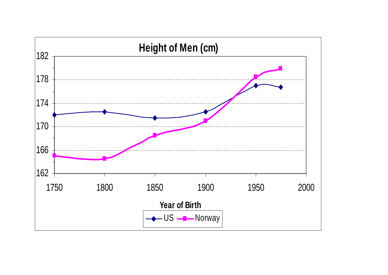![](_page_37_Figure_0.jpeg)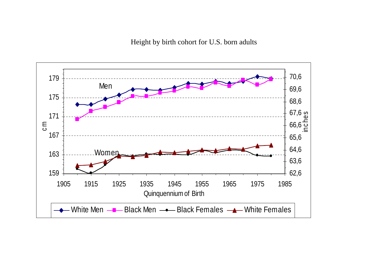Height by birth cohort for U.S. born adults

![](_page_38_Figure_1.jpeg)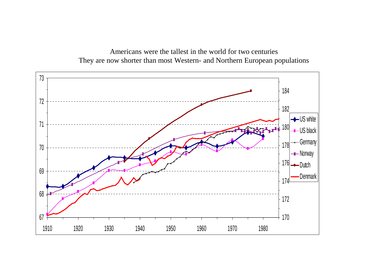![](_page_39_Figure_0.jpeg)

Americans were the tallest in the world for two centuries They are now shorter than most Western- and Northern European populations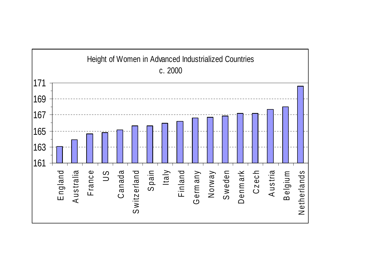![](_page_40_Figure_0.jpeg)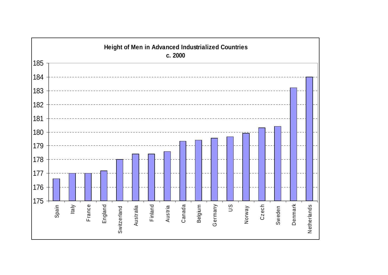![](_page_41_Figure_0.jpeg)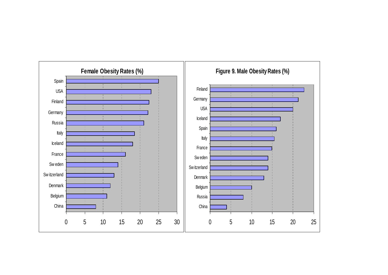![](_page_42_Figure_0.jpeg)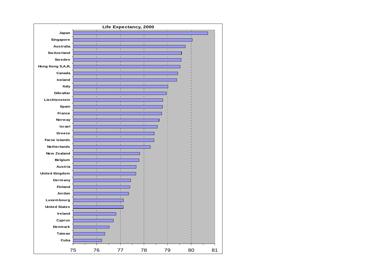![](_page_43_Figure_0.jpeg)